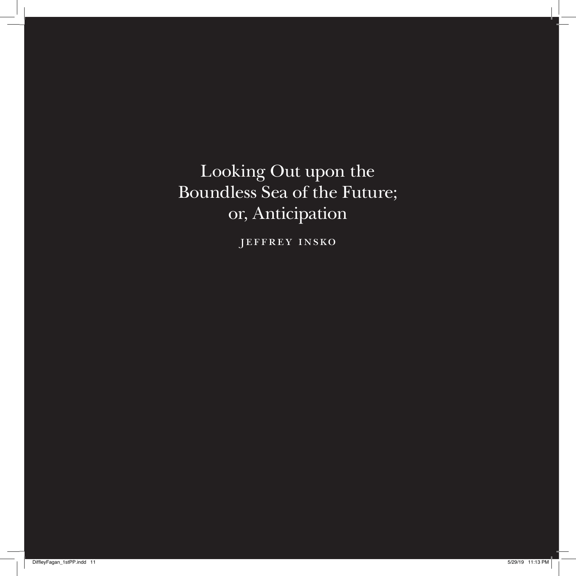Looking Out upon the Boundless Sea of the Future; or, Anticipation

jeffrey insko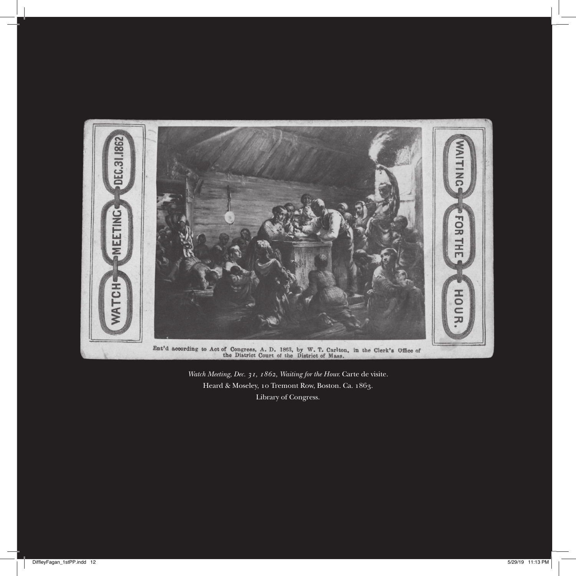

*Watch Meeting, Dec. 31, 1862, Waiting for the Hour.* Carte de visite. Heard & Moseley, 10 Tremont Row, Boston. Ca. 1863. Library of Congress.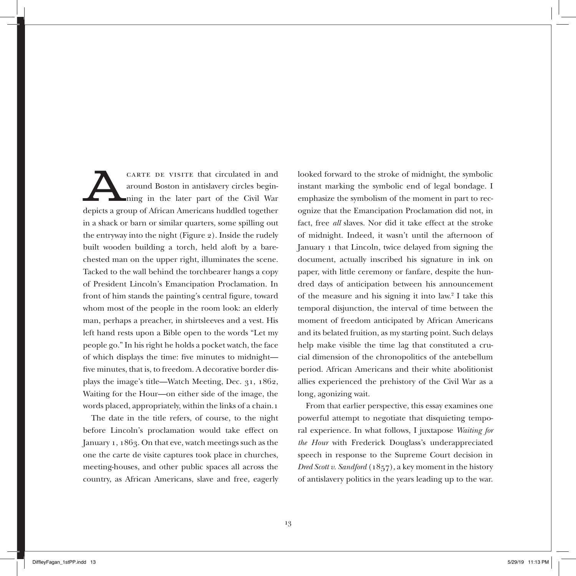CARTE DE VISITE that circulated in and<br>around Boston in antislavery circles begin-<br>ning in the later part of the Civil War<br>donists a group of African Americans hyddled together around Boston in antislavery circles beginning in the later part of the Civil War depicts a group of African Americans huddled together in a shack or barn or similar quarters, some spilling out the entryway into the night (Figure 2). Inside the rudely built wooden building a torch, held aloft by a barechested man on the upper right, illuminates the scene. Tacked to the wall behind the torchbearer hangs a copy of President Lincoln's Emancipation Proclamation. In front of him stands the painting's central figure, toward whom most of the people in the room look: an elderly man, perhaps a preacher, in shirtsleeves and a vest. His left hand rests upon a Bible open to the words "Let my people go." In his right he holds a pocket watch, the face of which displays the time: five minutes to midnight five minutes, that is, to freedom. A decorative border displays the image's title—Watch Meeting, Dec. 31, 1862, Waiting for the Hour—on either side of the image, the words placed, appropriately, within the links of a chain.1

The date in the title refers, of course, to the night before Lincoln's proclamation would take effect on January 1, 1863. On that eve, watch meetings such as the one the carte de visite captures took place in churches, meeting-houses, and other public spaces all across the country, as African Americans, slave and free, eagerly

looked forward to the stroke of midnight, the symbolic instant marking the symbolic end of legal bondage. I emphasize the symbolism of the moment in part to recognize that the Emancipation Proclamation did not, in fact, free *all* slaves. Nor did it take effect at the stroke of midnight. Indeed, it wasn't until the afternoon of January 1 that Lincoln, twice delayed from signing the document, actually inscribed his signature in ink on paper, with little ceremony or fanfare, despite the hundred days of anticipation between his announcement of the measure and his signing it into law.<sup>2</sup> I take this temporal disjunction, the interval of time between the moment of freedom anticipated by African Americans and its belated fruition, as my starting point. Such delays help make visible the time lag that constituted a crucial dimension of the chronopolitics of the antebellum period. African Americans and their white abolitionist allies experienced the prehistory of the Civil War as a long, agonizing wait.

From that earlier perspective, this essay examines one powerful attempt to negotiate that disquieting temporal experience. In what follows, I juxtapose *Waiting for the Hour* with Frederick Douglass's underappreciated speech in response to the Supreme Court decision in *Dred Scott v. Sandford* (1857), a key moment in the history of antislavery politics in the years leading up to the war.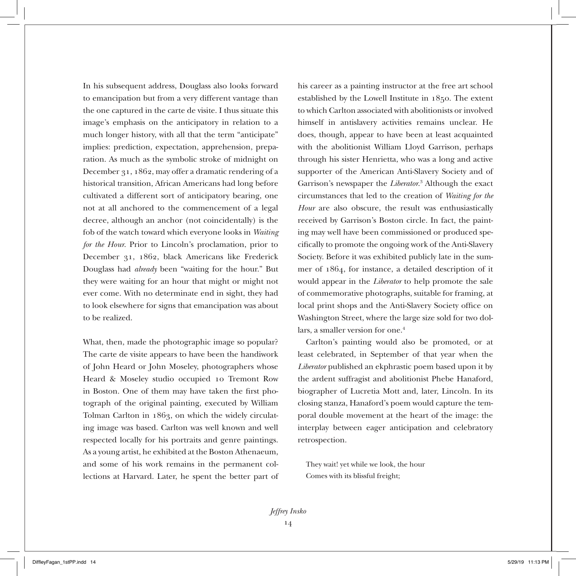In his subsequent address, Douglass also looks forward to emancipation but from a very different vantage than the one captured in the carte de visite. I thus situate this image's emphasis on the anticipatory in relation to a much longer history, with all that the term "anticipate" implies: prediction, expectation, apprehension, preparation. As much as the symbolic stroke of midnight on December 31, 1862, may offer a dramatic rendering of a historical transition, African Americans had long before cultivated a different sort of anticipatory bearing, one not at all anchored to the commencement of a legal decree, although an anchor (not coincidentally) is the fob of the watch toward which everyone looks in *Waiting for the Hour*. Prior to Lincoln's proclamation, prior to December 31, 1862, black Americans like Frederick Douglass had *already* been "waiting for the hour." But they were waiting for an hour that might or might not ever come. With no determinate end in sight, they had to look elsewhere for signs that emancipation was about to be realized.

What, then, made the photographic image so popular? The carte de visite appears to have been the handiwork of John Heard or John Moseley, photographers whose Heard & Moseley studio occupied 10 Tremont Row in Boston. One of them may have taken the first photograph of the original painting, executed by William Tolman Carlton in 1863, on which the widely circulating image was based. Carlton was well known and well respected locally for his portraits and genre paintings. As a young artist, he exhibited at the Boston Athenaeum, and some of his work remains in the permanent collections at Harvard. Later, he spent the better part of his career as a painting instructor at the free art school established by the Lowell Institute in 1850. The extent to which Carlton associated with abolitionists or involved himself in antislavery activities remains unclear. He does, though, appear to have been at least acquainted with the abolitionist William Lloyd Garrison, perhaps through his sister Henrietta, who was a long and active supporter of the American Anti-Slavery Society and of Garrison's newspaper the *Liberator*. 3 Although the exact circumstances that led to the creation of *Waiting for the Hour* are also obscure, the result was enthusiastically received by Garrison's Boston circle. In fact, the painting may well have been commissioned or produced specifically to promote the ongoing work of the Anti-Slavery Society. Before it was exhibited publicly late in the summer of 1864, for instance, a detailed description of it would appear in the *Liberator* to help promote the sale of commemorative photographs, suitable for framing, at local print shops and the Anti-Slavery Society office on Washington Street, where the large size sold for two dollars, a smaller version for one.<sup>4</sup>

Carlton's painting would also be promoted, or at least celebrated, in September of that year when the *Liberator* published an ekphrastic poem based upon it by the ardent suffragist and abolitionist Phebe Hanaford, biographer of Lucretia Mott and, later, Lincoln. In its closing stanza, Hanaford's poem would capture the temporal double movement at the heart of the image: the interplay between eager anticipation and celebratory retrospection.

They wait! yet while we look, the hour Comes with its blissful freight;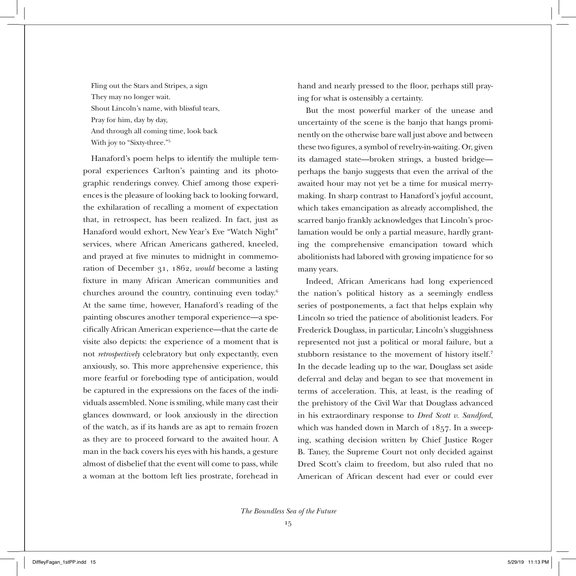Fling out the Stars and Stripes, a sign They may no longer wait. Shout Lincoln's name, with blissful tears, Pray for him, day by day, And through all coming time, look back With joy to "Sixty-three."5

Hanaford's poem helps to identify the multiple temporal experiences Carlton's painting and its photographic renderings convey. Chief among those experiences is the pleasure of looking back to looking forward, the exhilaration of recalling a moment of expectation that, in retrospect, has been realized. In fact, just as Hanaford would exhort, New Year's Eve "Watch Night" services, where African Americans gathered, kneeled, and prayed at five minutes to midnight in commemoration of December 31, 1862, *would* become a lasting fixture in many African American communities and churches around the country, continuing even today.6 At the same time, however, Hanaford's reading of the painting obscures another temporal experience—a specifically African American experience—that the carte de visite also depicts: the experience of a moment that is not *retrospectively* celebratory but only expectantly, even anxiously, so. This more apprehensive experience, this more fearful or foreboding type of anticipation, would be captured in the expressions on the faces of the individuals assembled. None is smiling, while many cast their glances downward, or look anxiously in the direction of the watch, as if its hands are as apt to remain frozen as they are to proceed forward to the awaited hour. A man in the back covers his eyes with his hands, a gesture almost of disbelief that the event will come to pass, while a woman at the bottom left lies prostrate, forehead in

hand and nearly pressed to the floor, perhaps still praying for what is ostensibly a certainty.

But the most powerful marker of the unease and uncertainty of the scene is the banjo that hangs prominently on the otherwise bare wall just above and between these two figures, a symbol of revelry-in-waiting. Or, given its damaged state—broken strings, a busted bridge perhaps the banjo suggests that even the arrival of the awaited hour may not yet be a time for musical merrymaking. In sharp contrast to Hanaford's joyful account, which takes emancipation as already accomplished, the scarred banjo frankly acknowledges that Lincoln's proclamation would be only a partial measure, hardly granting the comprehensive emancipation toward which abolitionists had labored with growing impatience for so many years.

Indeed, African Americans had long experienced the nation's political history as a seemingly endless series of postponements, a fact that helps explain why Lincoln so tried the patience of abolitionist leaders. For Frederick Douglass, in particular, Lincoln's sluggishness represented not just a political or moral failure, but a stubborn resistance to the movement of history itself.7 In the decade leading up to the war, Douglass set aside deferral and delay and began to see that movement in terms of acceleration. This, at least, is the reading of the prehistory of the Civil War that Douglass advanced in his extraordinary response to *Dred Scott v. Sandford*, which was handed down in March of 1857. In a sweeping, scathing decision written by Chief Justice Roger B. Taney, the Supreme Court not only decided against Dred Scott's claim to freedom, but also ruled that no American of African descent had ever or could ever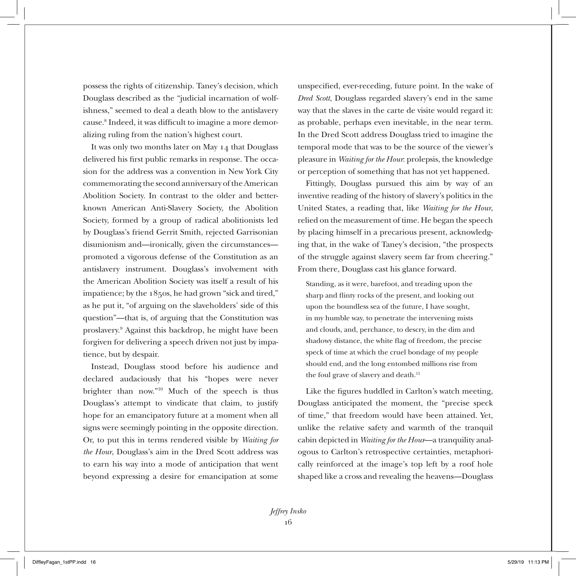possess the rights of citizenship. Taney's decision, which Douglass described as the "judicial incarnation of wolfishness," seemed to deal a death blow to the antislavery cause.<sup>8</sup> Indeed, it was difficult to imagine a more demoralizing ruling from the nation's highest court.

It was only two months later on May 14 that Douglass delivered his first public remarks in response. The occasion for the address was a convention in New York City commemorating the second anniversary of the American Abolition Society. In contrast to the older and betterknown American Anti-Slavery Society, the Abolition Society, formed by a group of radical abolitionists led by Douglass's friend Gerrit Smith, rejected Garrisonian disunionism and—ironically, given the circumstances promoted a vigorous defense of the Constitution as an antislavery instrument. Douglass's involvement with the American Abolition Society was itself a result of his impatience; by the 1850s, he had grown "sick and tired," as he put it, "of arguing on the slaveholders' side of this question"—that is, of arguing that the Constitution was proslavery.9 Against this backdrop, he might have been forgiven for delivering a speech driven not just by impatience, but by despair.

Instead, Douglass stood before his audience and declared audaciously that his "hopes were never brighter than now."10 Much of the speech is thus Douglass's attempt to vindicate that claim, to justify hope for an emancipatory future at a moment when all signs were seemingly pointing in the opposite direction. Or, to put this in terms rendered visible by *Waiting for the Hour*, Douglass's aim in the Dred Scott address was to earn his way into a mode of anticipation that went beyond expressing a desire for emancipation at some

unspecified, ever-receding, future point. In the wake of *Dred Scott*, Douglass regarded slavery's end in the same way that the slaves in the carte de visite would regard it: as probable, perhaps even inevitable, in the near term. In the Dred Scott address Douglass tried to imagine the temporal mode that was to be the source of the viewer's pleasure in *Waiting for the Hour*: prolepsis, the knowledge or perception of something that has not yet happened.

Fittingly, Douglass pursued this aim by way of an inventive reading of the history of slavery's politics in the United States, a reading that, like *Waiting for the Hour*, relied on the measurement of time. He began the speech by placing himself in a precarious present, acknowledging that, in the wake of Taney's decision, "the prospects of the struggle against slavery seem far from cheering." From there, Douglass cast his glance forward.

Standing, as it were, barefoot, and treading upon the sharp and flinty rocks of the present, and looking out upon the boundless sea of the future, I have sought, in my humble way, to penetrate the intervening mists and clouds, and, perchance, to descry, in the dim and shadowy distance, the white flag of freedom, the precise speck of time at which the cruel bondage of my people should end, and the long entombed millions rise from the foul grave of slavery and death.<sup>11</sup>

Like the figures huddled in Carlton's watch meeting, Douglass anticipated the moment, the "precise speck of time," that freedom would have been attained. Yet, unlike the relative safety and warmth of the tranquil cabin depicted in *Waiting for the Hour*—a tranquility analogous to Carlton's retrospective certainties, metaphorically reinforced at the image's top left by a roof hole shaped like a cross and revealing the heavens—Douglass

*Jeffrey Insko* 16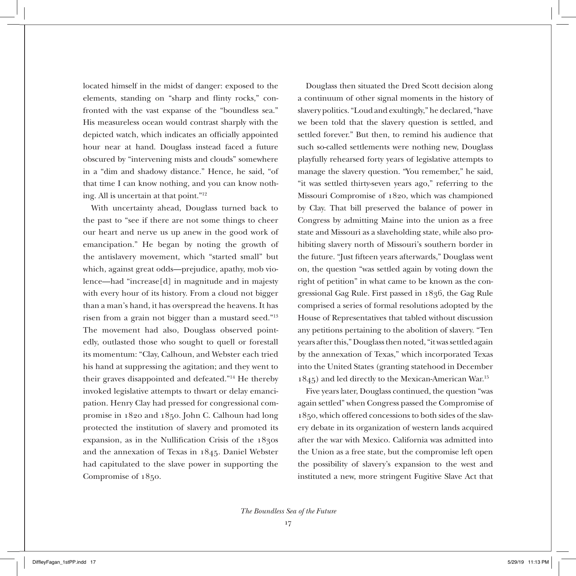located himself in the midst of danger: exposed to the elements, standing on "sharp and flinty rocks," confronted with the vast expanse of the "boundless sea." His measureless ocean would contrast sharply with the depicted watch, which indicates an officially appointed hour near at hand. Douglass instead faced a future obscured by "intervening mists and clouds" somewhere in a "dim and shadowy distance." Hence, he said, "of that time I can know nothing, and you can know nothing. All is uncertain at that point."12

With uncertainty ahead, Douglass turned back to the past to "see if there are not some things to cheer our heart and nerve us up anew in the good work of emancipation." He began by noting the growth of the antislavery movement, which "started small" but which, against great odds—prejudice, apathy, mob violence—had "increase[d] in magnitude and in majesty with every hour of its history. From a cloud not bigger than a man's hand, it has overspread the heavens. It has risen from a grain not bigger than a mustard seed."13 The movement had also, Douglass observed pointedly, outlasted those who sought to quell or forestall its momentum: "Clay, Calhoun, and Webster each tried his hand at suppressing the agitation; and they went to their graves disappointed and defeated."14 He thereby invoked legislative attempts to thwart or delay emancipation. Henry Clay had pressed for congressional compromise in 1820 and 1850. John C. Calhoun had long protected the institution of slavery and promoted its expansion, as in the Nullification Crisis of the 1830s and the annexation of Texas in 1845. Daniel Webster had capitulated to the slave power in supporting the Compromise of 1850.

Douglass then situated the Dred Scott decision along a continuum of other signal moments in the history of slavery politics. "Loud and exultingly," he declared, "have we been told that the slavery question is settled, and settled forever." But then, to remind his audience that such so-called settlements were nothing new, Douglass playfully rehearsed forty years of legislative attempts to manage the slavery question. "You remember," he said, "it was settled thirty-seven years ago," referring to the Missouri Compromise of 1820, which was championed by Clay. That bill preserved the balance of power in Congress by admitting Maine into the union as a free state and Missouri as a slaveholding state, while also prohibiting slavery north of Missouri's southern border in the future. "Just fifteen years afterwards," Douglass went on, the question "was settled again by voting down the right of petition" in what came to be known as the congressional Gag Rule. First passed in 1836, the Gag Rule comprised a series of formal resolutions adopted by the House of Representatives that tabled without discussion any petitions pertaining to the abolition of slavery. "Ten years after this," Douglass then noted, "it was settled again by the annexation of Texas," which incorporated Texas into the United States (granting statehood in December 1845) and led directly to the Mexican-American War.15

Five years later, Douglass continued, the question "was again settled" when Congress passed the Compromise of 1850, which offered concessions to both sides of the slavery debate in its organization of western lands acquired after the war with Mexico. California was admitted into the Union as a free state, but the compromise left open the possibility of slavery's expansion to the west and instituted a new, more stringent Fugitive Slave Act that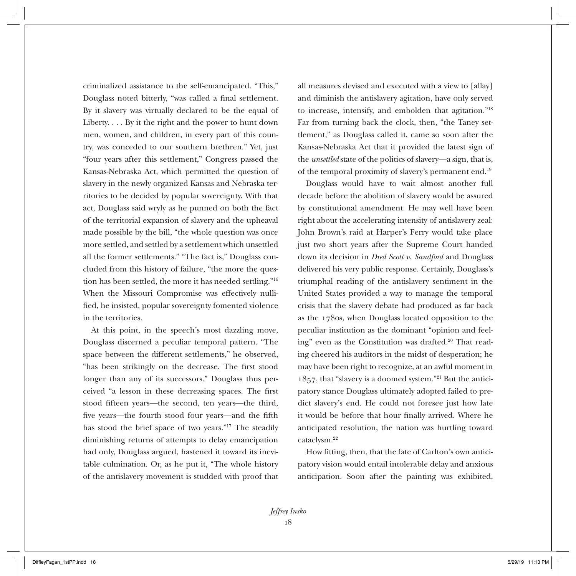criminalized assistance to the self-emancipated. "This," Douglass noted bitterly, "was called a final settlement. By it slavery was virtually declared to be the equal of Liberty. . . . By it the right and the power to hunt down men, women, and children, in every part of this country, was conceded to our southern brethren." Yet, just "four years after this settlement," Congress passed the Kansas-Nebraska Act, which permitted the question of slavery in the newly organized Kansas and Nebraska territories to be decided by popular sovereignty. With that act, Douglass said wryly as he punned on both the fact of the territorial expansion of slavery and the upheaval made possible by the bill, "the whole question was once more settled, and settled by a settlement which unsettled all the former settlements." "The fact is," Douglass concluded from this history of failure, "the more the question has been settled, the more it has needed settling."16 When the Missouri Compromise was effectively nullified, he insisted, popular sovereignty fomented violence in the territories.

At this point, in the speech's most dazzling move, Douglass discerned a peculiar temporal pattern. "The space between the different settlements," he observed, "has been strikingly on the decrease. The first stood longer than any of its successors." Douglass thus perceived "a lesson in these decreasing spaces. The first stood fifteen years—the second, ten years—the third, five years—the fourth stood four years—and the fifth has stood the brief space of two years."17 The steadily diminishing returns of attempts to delay emancipation had only, Douglass argued, hastened it toward its inevitable culmination. Or, as he put it, "The whole history of the antislavery movement is studded with proof that

all measures devised and executed with a view to [allay] and diminish the antislavery agitation, have only served to increase, intensify, and embolden that agitation."18 Far from turning back the clock, then, "the Taney settlement," as Douglass called it, came so soon after the Kansas-Nebraska Act that it provided the latest sign of the *unsettled* state of the politics of slavery—a sign, that is, of the temporal proximity of slavery's permanent end.19

Douglass would have to wait almost another full decade before the abolition of slavery would be assured by constitutional amendment. He may well have been right about the accelerating intensity of antislavery zeal: John Brown's raid at Harper's Ferry would take place just two short years after the Supreme Court handed down its decision in *Dred Scott v. Sandford* and Douglass delivered his very public response. Certainly, Douglass's triumphal reading of the antislavery sentiment in the United States provided a way to manage the temporal crisis that the slavery debate had produced as far back as the 1780s, when Douglass located opposition to the peculiar institution as the dominant "opinion and feeling" even as the Constitution was drafted.<sup>20</sup> That reading cheered his auditors in the midst of desperation; he may have been right to recognize, at an awful moment in 1857, that "slavery is a doomed system."21 But the anticipatory stance Douglass ultimately adopted failed to predict slavery's end. He could not foresee just how late it would be before that hour finally arrived. Where he anticipated resolution, the nation was hurtling toward cataclysm.22

How fitting, then, that the fate of Carlton's own anticipatory vision would entail intolerable delay and anxious anticipation. Soon after the painting was exhibited,

*Jeffrey Insko* 18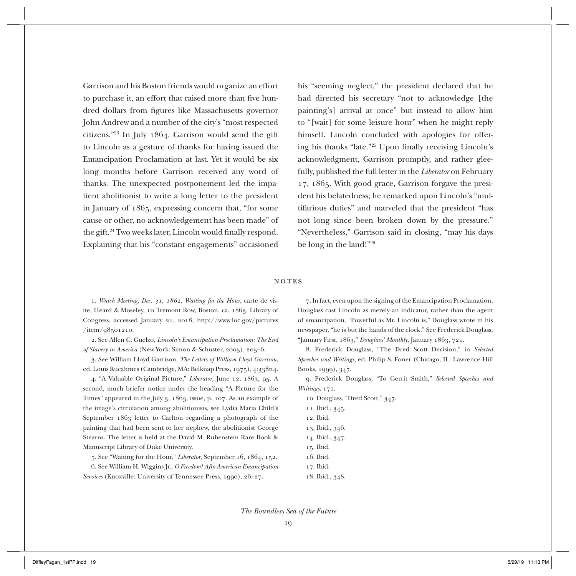Garrison and his Boston friends would organize an effort to purchase it, an effort that raised more than five hundred dollars from figures like Massachusetts governor John Andrew and a number of the city's "most respected citizens."23 In July 1864, Garrison would send the gift to Lincoln as a gesture of thanks for having issued the Emancipation Proclamation at last. Yet it would be six long months before Garrison received any word of thanks. The unexpected postponement led the impatient abolitionist to write a long letter to the president in January of 1865, expressing concern that, "for some cause or other, no acknowledgement has been made" of the gift.24 Two weeks later, Lincoln would finally respond. Explaining that his "constant engagements" occasioned

his "seeming neglect," the president declared that he had directed his secretary "not to acknowledge [the painting's] arrival at once" but instead to allow him to "[wait] for some leisure hour" when he might reply himself. Lincoln concluded with apologies for offering his thanks "late."25 Upon finally receiving Lincoln's acknowledgment, Garrison promptly, and rather gleefully, published the full letter in the *Liberator* on February 17, 1865. With good grace, Garrison forgave the president his belatedness; he remarked upon Lincoln's "multifarious duties" and marveled that the president "has not long since been broken down by the pressure." "Nevertheless," Garrison said in closing, "may his days be long in the land!"26

## notes

1. *Watch Meeting, Dec. 31, 1862, Waiting for the Hour*, carte de visite, Heard & Moseley, 10 Tremont Row, Boston, ca. 1863, Library of Congress, accessed January 21, 2018, http://www.loc.gov/pictures /item/98501210.

2. See Allen C. Guelzo, *Lincoln's Emancipation Proclamation: The End of Slavery in America* (New York: Simon & Schuster, 2005), 205–6.

3. See William Lloyd Garrison, *The Letters of William Lloyd Garrison*, ed. Louis Rucahmes (Cambridge, MA: Belknap Press, 1975), 4:338n4.

4. "A Valuable Original Picture," *Liberator*, June 12, 1863, 95. A second, much briefer notice under the heading "A Picture for the Times" appeared in the July 3, 1863, issue, p. 107. As an example of the image's circulation among abolitionists, see Lydia Maria Child's September 1863 letter to Carlton regarding a photograph of the painting that had been sent to her nephew, the abolitionist George Stearns. The letter is held at the David M. Rubenstein Rare Book & Manuscript Library of Duke University.

5. See "Waiting for the Hour," *Liberator*, September 16, 1864, 152. 6. See William H. Wiggins Jr., *O Freedom! Afro-American Emancipation Services* (Knoxville: University of Tennessee Press, 1990), 26–27.

7. In fact, even upon the signing of the Emancipation Proclamation, Douglass cast Lincoln as merely an indicator, rather than the agent of emancipation. "Powerful as Mr. Lincoln is," Douglass wrote in his newspaper, "he is but the hands of the clock." See Frederick Douglass, "January First, 1863," *Douglass' Monthly*, January 1863, 721.

8. Frederick Douglass, "The Dred Scott Decision," in *Selected Speeches and Writings*, ed. Philip S. Foner (Chicago, IL: Lawrence Hill Books, 1999), 347.

9. Frederick Douglass, "To Gerrit Smith," *Selected Speeches and Writings*, 171.

- 10. Douglass, "Dred Scott," 347.
- 11. Ibid., 345.
- 12. Ibid.
- 13. Ibid., 346.
- 14. Ibid., 347.
- 15. Ibid.
- 16. Ibid.
- 17. Ibid.
- 18. Ibid., 348.

*The Boundless Sea of the Future*